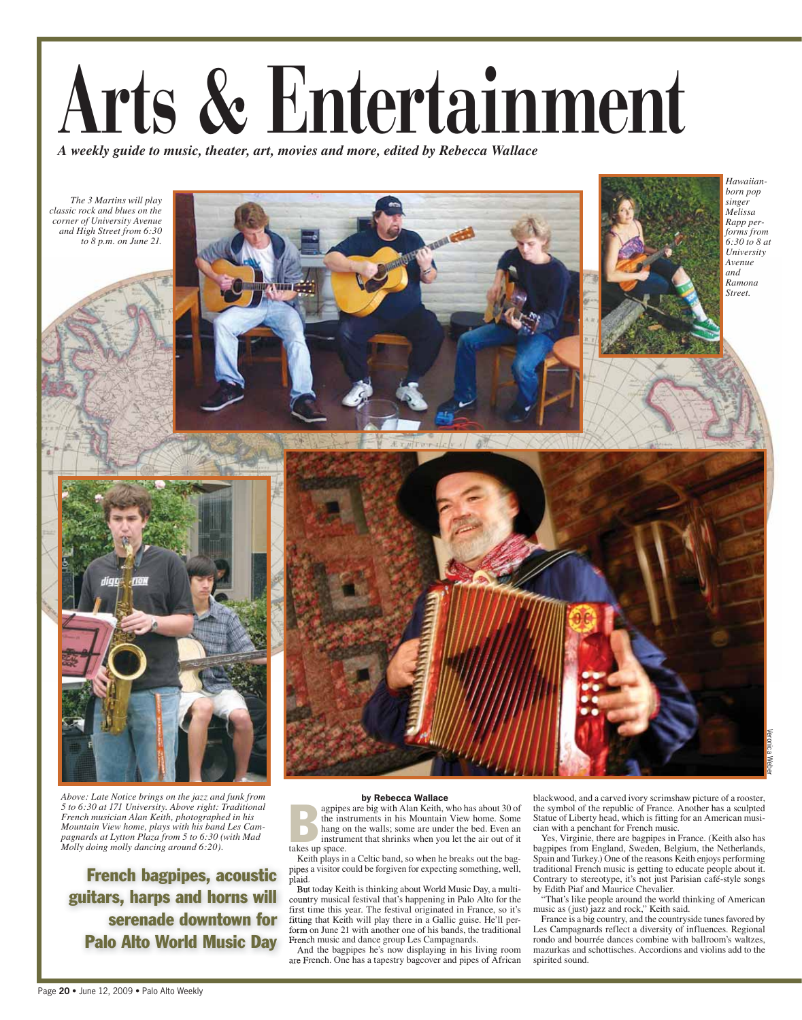## **Arts & Entertainment**

*A weekly guide to music, theater, art, movies and more, edited by Rebecca Wallace*

*The 3 Martins will play classic rock and blues on the corner of University Avenue and High Street from 6:30 to 8 p.m. on June 21.*







*Above: Late Notice brings on the jazz and funk from 5 to 6:30 at 171 University. Above right: Traditional French musician Alan Keith, photographed in his Mountain View home, plays with his band Les Campagnards at Lytton Plaza from 5 to 6:30 (with Mad Molly doing molly dancing around 6:20).*

French bagpipes, acoustic guitars, harps and horns will serenade downtown for Palo Alto World Music Day

by Rebecca Wallace<br>agpipes are big with Alan Keith, who has about 30 of by Rebecta Wallace<br>
agpipes are big with Alan Keith, who has about 30 of<br>
the instruments in his Mountain View home. Some<br>
hang on the walls; some are under the bed. Even an<br>
instrument that shrinks when you let the air ou the instruments in his Mountain View home. Some hang on the walls; some are under the bed. Even an instrument that shrinks when you let the air out of it takes up space.

Keith plays in a Celtic band, so when he breaks out the bagpipes a visitor could be forgiven for expecting something, well, plaid.

But today Keith is thinking about World Music Day, a multicountry musical festival that's happening in Palo Alto for the first time this year. The festival originated in France, so it's fitting that Keith will play there in a Gallic guise. He'll perform on June 21 with another one of his bands, the traditional French music and dance group Les Campagnards.

And the bagpipes he's now displaying in his living room are French. One has a tapestry bagcover and pipes of African blackwood, and a carved ivory scrimshaw picture of a rooster, the symbol of the republic of France. Another has a sculpted Statue of Liberty head, which is fitting for an American musician with a penchant for French music.

Veronica Weber

Yes, Virginie, there are bagpipes in France. (Keith also has bagpipes from England, Sweden, Belgium, the Netherlands, Spain and Turkey.) One of the reasons Keith enjoys performing traditional French music is getting to educate people about it. Contrary to stereotype, it's not just Parisian café-style songs by Edith Piaf and Maurice Chevalier.

"That's like people around the world thinking of American music as (just) jazz and rock," Keith said.

France is a big country, and the countryside tunes favored by Les Campagnards reflect a diversity of influences. Regional rondo and bourrée dances combine with ballroom's waltzes, mazurkas and schottisches. Accordions and violins add to the spirited sound.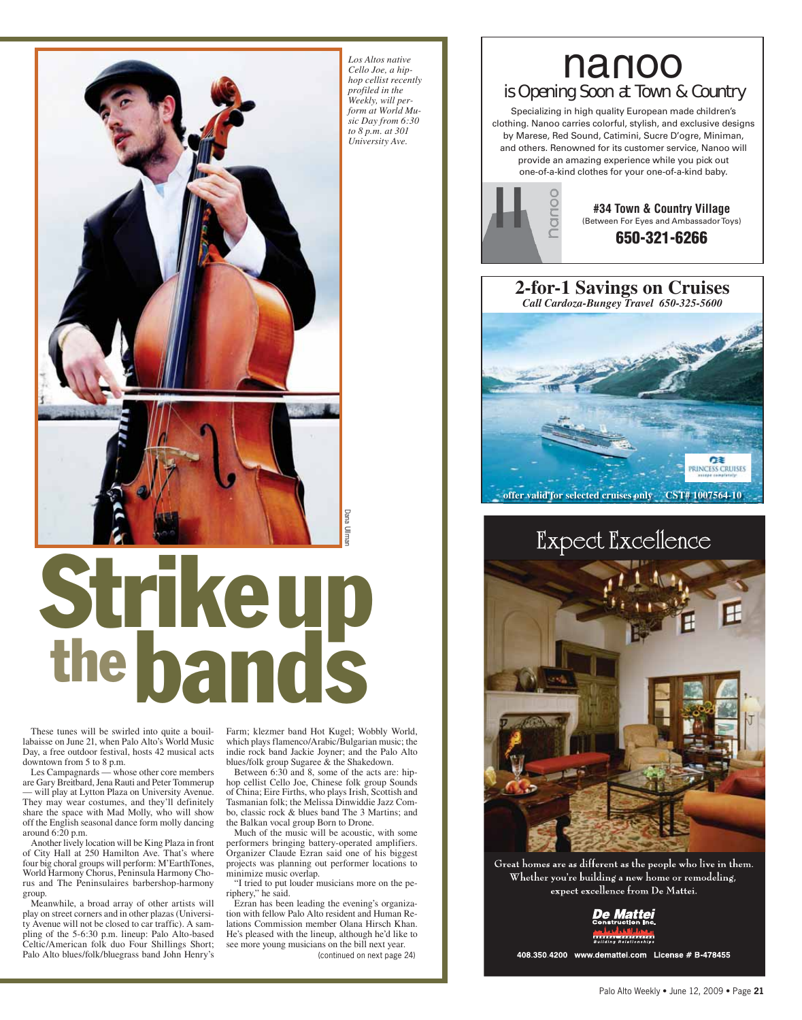

# Strikeup the bands the best and the set of the set of the best page 24) or the best page 24) or the best page 24) or the page 24) or the acts are: hip innese folk group Sounds in Some of the acts are: hip innese folk group Sounds Dana Ull be aco

These tunes will be swirled into quite a bouillabaisse on June 21, when Palo Alto's World Music Day, a free outdoor festival, hosts 42 musical acts downtown from 5 to 8 p.m.

Les Campagnards — whose other core members are Gary Breitbard, Jena Rauti and Peter Tommerup — will play at Lytton Plaza on University Avenue. They may wear costumes, and they'll definitely share the space with Mad Molly, who will show off the English seasonal dance form molly dancing around 6:20 p.m.

Another lively location will be King Plaza in front of City Hall at 250 Hamilton Ave. That's where four big choral groups will perform: M'EarthTones, World Harmony Chorus, Peninsula Harmony Chorus and The Peninsulaires barbershop-harmony group.

Meanwhile, a broad array of other artists will play on street corners and in other plazas (University Avenue will not be closed to car traffic). A sampling of the 5-6:30 p.m. lineup: Palo Alto-based Celtic/American folk duo Four Shillings Short; Palo Alto blues/folk/bluegrass band John Henry's

Farm; klezmer band Hot Kugel; Wobbly World, which plays flamenco/Arabic/Bulgarian music; the indie rock band Jackie Joyner; and the Palo Alto blues/folk group Sugaree & the Shakedown.

Between  $6:30$  and 8, some of the acts are: hiphop cellist Cello Joe, Chinese folk group Sounds of China; Eire Firths, who plays Irish, Scottish and Tasmanian folk; the Melissa Dinwiddie Jazz Combo, classic rock & blues band The 3 Martins; and the Balkan vocal group Born to Drone.

Much of the music will be acoustic, with some performers bringing battery-operated amplifiers. Organizer Claude Ezran said one of his biggest projects was planning out performer locations to minimize music overlap.

"I tried to put louder musicians more on the periphery," he said.

Ezran has been leading the evening's organization with fellow Palo Alto resident and Human Relations Commission member Olana Hirsch Khan. He's pleased with the lineup, although he'd like to see more young musicians on the bill next year.

#### nanoo is Opening Soon at Town & Country

Specializing in high quality European made children's clothing. Nanoo carries colorful, stylish, and exclusive designs by Marese, Red Sound, Catimini, Sucre D'ogre, Miniman, and others. Renowned for its customer service, Nanoo will provide an amazing experience while you pick out one-of-a-kind clothes for your one-of-a-kind baby.



**#34 Town & Country Village** (Between For Eyes and Ambassador Toys) **650-321-6266**



### Expect Excellence



Great homes are as different as the people who live in them. Whether you're building a new home or remodeling, expect excellence from De Mattei.



408.350.4200 www.demattei.com License # B-478455